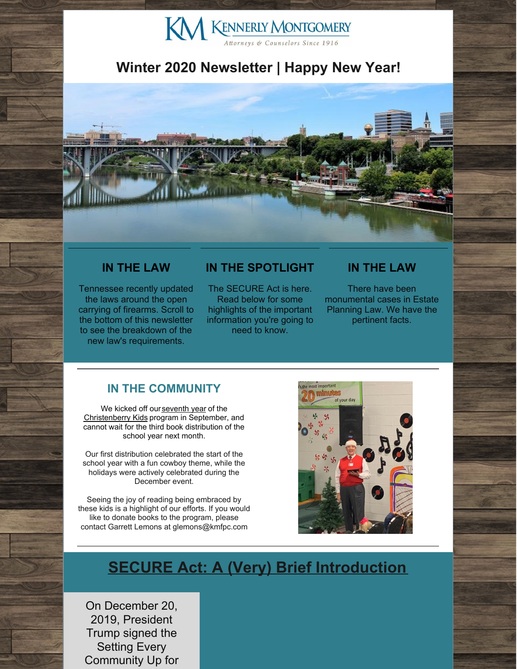# KN KENNERLY MONTGOMERY

# **Winter 2020 Newsletter | Happy New Year!**



### **IN THE LAW**

Tennessee recently updated the laws around the open carrying of firearms. Scroll to the bottom of this newsletter to see the breakdown of the new law's requirements.

### **IN THE SPOTLIGHT**

The SECURE Act is here. Read below for some highlights of the important information you're going to need to know.

### **IN THE LAW**

There have been monumental cases in Estate Planning Law. We have the pertinent facts.

### **IN THE COMMUNITY**

We kicked off our [seventh](http://www.kmfpc.com/Articles/seven_years_of_christenberry_kids.aspx) year of the [Christenberry](http://www.kmfpc.com/our_firm/christenberry_kids.aspx) Kids program in September, and cannot wait for the third book distribution of the school year next month.

Our first distribution celebrated the start of the school year with a fun cowboy theme, while the holidays were actively celebrated during the December event.

Seeing the joy of reading being embraced by these kids is a highlight of our efforts. If you would like to donate books to the program, please contact Garrett Lemons at glemons@kmfpc.com



# **SECURE Act: A (Very) Brief Introduction**

On December 20, 2019, President Trump signed the Setting Every Community Up for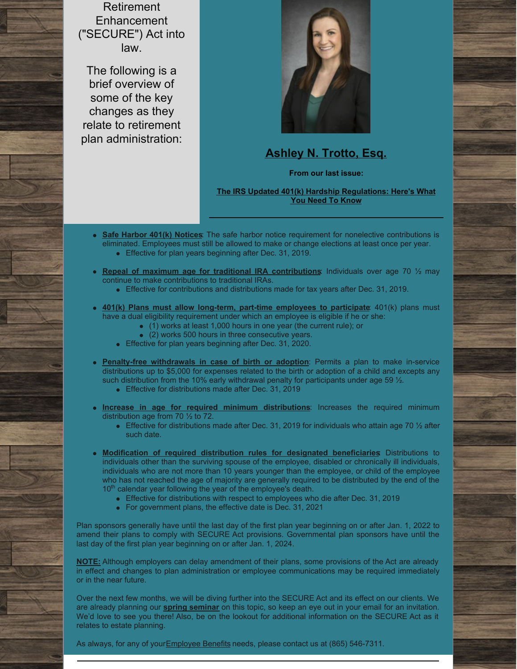Retirement **Enhancement** ("SECURE") Act into law.

The following is a brief overview of some of the key changes as they relate to retirement plan administration:



# **[Ashley](http://www.kmfpc.com/attorneys/ashley_n_trotto.aspx) N. Trotto, Esq.**

**From our last issue:**

**The IRS Updated 401(k) Hardship [Regulations:](http://www.kmfpc.com/Articles/the_irs_updated_401k_hardship_regulations.aspx) Here's What You Need To Know**

- **Safe Harbor 401(k) Notices**: The safe harbor notice requirement for nonelective contributions is eliminated. Employees must still be allowed to make or change elections at least once per year. Effective for plan years beginning after Dec. 31, 2019.
- **Repeal of maximum age for traditional IRA contributions**: Individuals over age 70 ½ may
- continue to make contributions to traditional IRAs.
	- **Effective for contributions and distributions made for tax years after Dec. 31, 2019.**
- **401(k) Plans must allow long-term, part-time employees to participate**: 401(k) plans must have a dual eligibility requirement under which an employee is eligible if he or she:
	- (1) works at least 1,000 hours in one year (the current rule); or
	- (2) works 500 hours in three consecutive years.
	- Effective for plan years beginning after Dec. 31, 2020.
- **Penalty-free withdrawals in case of birth or adoption**: Permits a plan to make in-service distributions up to \$5,000 for expenses related to the birth or adoption of a child and excepts any such distribution from the 10% early withdrawal penalty for participants under age 59 1/2.
	- **Effective for distributions made after Dec. 31, 2019**
- **Increase in age for required minimum distributions**: Increases the required minimum distribution age from 70 ½ to 72.
	- Effective for distributions made after Dec. 31, 2019 for individuals who attain age 70  $\frac{1}{2}$  after such date.
- **Modification of required distribution rules for designated beneficiaries**: Distributions to individuals other than the surviving spouse of the employee, disabled or chronically ill individuals, individuals who are not more than 10 years younger than the employee, or child of the employee who has not reached the age of majority are generally required to be distributed by the end of the 10<sup>th</sup> calendar year following the year of the employee's death.
	- Effective for distributions with respect to employees who die after Dec. 31, 2019
	- For government plans, the effective date is Dec. 31, 2021

Plan sponsors generally have until the last day of the first plan year beginning on or after Jan. 1, 2022 to amend their plans to comply with SECURE Act provisions. Governmental plan sponsors have until the last day of the first plan year beginning on or after Jan. 1, 2024.

**NOTE:** Although employers can delay amendment of their plans, some provisions of the Act are already in effect and changes to plan administration or employee communications may be required immediately or in the near future.

Over the next few months, we will be diving further into the SECURE Act and its effect on our clients. We are already planning our **spring [seminar](http://www.kmfpc.com/our_firm/seminars_education.aspx)** on this topic, so keep an eye out in your email for an invitation. We'd love to see you there! Also, be on the lookout for additional information on the SECURE Act as it relates to estate planning.

As always, for any of your Employee Benefits needs, please contact us at (865) 546-7311.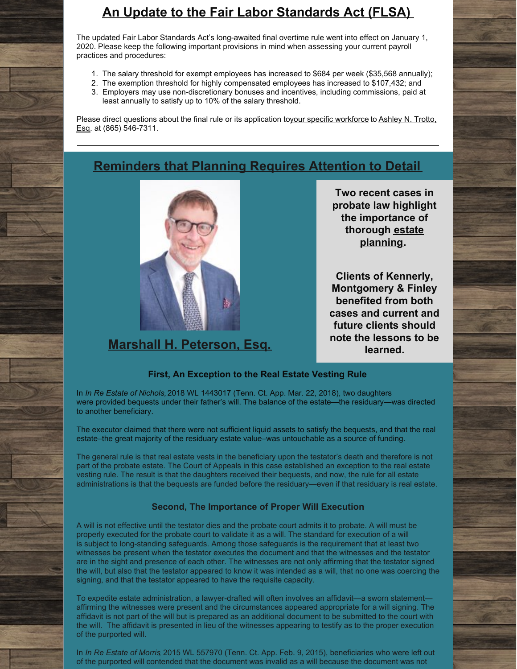# **An Update to the Fair Labor Standards Act (FLSA)**

The updated Fair Labor Standards Act's long-awaited final overtime rule went into effect on January 1, 2020. Please keep the following important provisions in mind when assessing your current payroll practices and procedures:

- 1. The salary threshold for exempt employees has increased to \$684 per week (\$35,568 annually);
- 2. The exemption threshold for highly compensated employees has increased to \$107,432; and
- 3. Employers may use non-discretionary bonuses and incentives, including commissions, paid at least annually to satisfy up to 10% of the salary threshold.

Please direct questions about the final rule or its [application](http://www.kmfpc.com/attorneys/ashley_n_trotto.aspx) toyour specific [workforce](http://www.kmfpc.com/practice_areas/employment_law.aspx) to Ashley N. Trotto, Esq. at (865) 546-7311.

# **Reminders that Planning Requires Attention to Detail**



# **Marshall H. [Peterson,](http://www.kmfpc.com/attorneys/marshall_h_peterson.aspx) Esq.**

**Two recent cases in probate law highlight the importance of thorough estate [planning.](http://www.kmfpc.com/practice_areas/estate_planning.aspx)**

**Clients of Kennerly, Montgomery & Finley benefited from both cases and current and future clients should note the lessons to be learned.**

#### **First, An Exception to the Real Estate Vesting Rule**

In *In Re Estate of Nichols,* 2018 WL 1443017 (Tenn. Ct. App. Mar. 22, 2018), two daughters were provided bequests under their father's will. The balance of the estate—the residuary—was directed to another beneficiary.

The executor claimed that there were not sufficient liquid assets to satisfy the bequests, and that the real estate–the great majority of the residuary estate value–was untouchable as a source of funding.

The general rule is that real estate vests in the beneficiary upon the testator's death and therefore is not part of the probate estate. The Court of Appeals in this case established an exception to the real estate vesting rule. The result is that the daughters received their bequests, and now, the rule for all estate administrations is that the bequests are funded before the residuary—even if that residuary is real estate.

#### **Second, The Importance of Proper Will Execution**

A will is not effective until the testator dies and the probate court admits it to probate. A will must be properly executed for the probate court to validate it as a will. The standard for execution of a will is subject to long-standing safeguards. Among those safeguards is the requirement that at least two witnesses be present when the testator executes the document and that the witnesses and the testator are in the sight and presence of each other. The witnesses are not only affirming that the testator signed the will, but also that the testator appeared to know it was intended as a will, that no one was coercing the signing, and that the testator appeared to have the requisite capacity.

To expedite estate administration, a lawyer-drafted will often involves an affidavit—a sworn statement affirming the witnesses were present and the circumstances appeared appropriate for a will signing. The affidavit is not part of the will but is prepared as an additional document to be submitted to the court with the will. The affidavit is presented in lieu of the witnesses appearing to testify as to the proper execution of the purported will.

In *In Re Estate of Morris*, 2015 WL 557970 (Tenn. Ct. App. Feb. 9, 2015), beneficiaries who were left out of the purported will contended that the document was invalid as a will because the document was not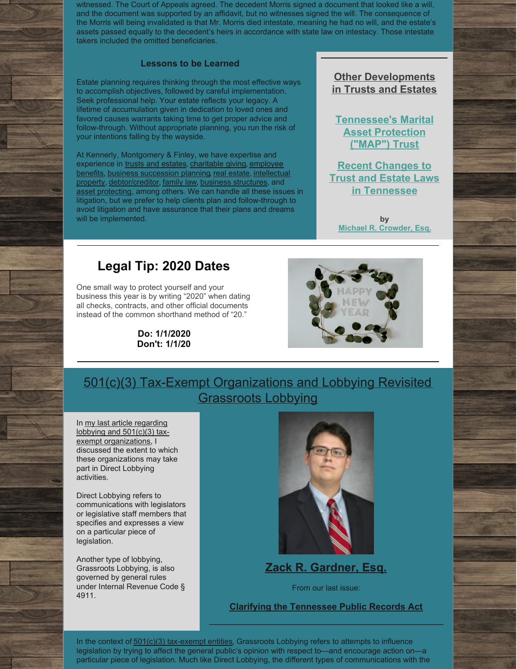witnessed. The Court of Appeals agreed. The decedent Morris signed a document that looked like a will, and the document was supported by an affidavit, but no witnesses signed the will. The consequence of the Morris will being invalidated is that Mr. Morris died intestate, meaning he had no will, and the estate's assets passed equally to the decedent's heirs in accordance with state law on intestacy. Those intestate takers included the omitted beneficiaries.

#### **Lessons to be Learned**

Estate planning requires thinking through the most effective ways to accomplish objectives, followed by careful implementation. Seek professional help. Your estate reflects your legacy. A lifetime of accumulation given in dedication to loved ones and favored causes warrants taking time to get proper advice and follow-through. Without appropriate planning, you run the risk of your intentions falling by the wayside.

At Kennerly, Montgomery & Finley, we have expertise and [experience](http://www.kmfpc.com/practice_areas/pension_and_employee_benefits.aspx) in trusts and [estates](http://www.kmfpc.com/practice_areas/estate_planning.aspx), [charitable](http://www.kmfpc.com/practice_areas/churches_nonprofit_and_tax-exempt_organizations.aspx) giving, employee benefits, business [succession](http://www.kmfpc.com/practice_areas/business_and_corporate_law.aspx) planning, real [estate](http://www.kmfpc.com/practice_areas/real_estate_law.aspx), intellectual property, [debtor/creditor,](http://www.kmfpc.com/practice_areas/intellectual_property.aspx) [family](http://www.kmfpc.com/practice_areas/divorce_and_family_law.aspx) law, business [structures](http://www.kmfpc.com/practice_areas/employment_law.aspx), and asset [protecting,](http://www.kmfpc.com/practice_areas/probate_and_estate_administration.aspx) among others. We can handle all these issues in litigation, but we prefer to help clients plan and follow-through to avoid litigation and have assurance that their plans and dreams will be implemented.

### **Other Developments in Trusts and Estates**

**[Tennessee's](http://www.kmfpc.com/Articles/tennessees_marital_asset_protection_map_trust.aspx) Marital Asset Protection ("MAP") Trust**

**Recent Changes to Trust and Estate Laws in [Tennessee](http://www.kmfpc.com/Articles/recent_changes_to_trust_and_estate_laws_in_tennessee.aspx)**

**by Michael R. [Crowder,](http://www.kmfpc.com/attorneys/michael_r_crowder.aspx) Esq.**

# **Legal Tip: 2020 Dates**

One small way to protect yourself and your business this year is by writing "2020" when dating all checks, contracts, and other official documents instead of the common shorthand method of "20."

> **Do: 1/1/2020 Don't: 1/1/20**



501(c)(3) Tax-Exempt Organizations and Lobbying Revisited Grassroots Lobbying

In my last article regarding lobbying and  $501(c)(3)$  taxexempt [organizations,](http://www.kmfpc.com/Uploads/Files/News/June 2016 KM Newsletter.pdf) I discussed the extent to which these organizations may take part in Direct Lobbying activities.

Direct Lobbying refers to communications with legislators or legislative staff members that specifies and expresses a view on a particular piece of legislation.

Another type of lobbying, Grassroots Lobbying, is also governed by general rules under Internal Revenue Code § 4911.



**Zack R. [Gardner,](http://www.kmfpc.com/attorneys/zack_r_gardner.aspx) Esq.**

From our last issue:

**Clarifying the [Tennessee](http://www.kmfpc.com/Articles/clarifying_the_tennessee_public_records_act.aspx) Public Records Act**

In the context of  $501(c)(3)$  [tax-exempt](http://www.kmfpc.com/practice_areas/churches_nonprofit_and_tax-exempt_organizations.aspx) entities, Grassroots Lobbying refers to attempts to influence legislation by trying to affect the general public's opinion with respect to—and encourage action on—a particular piece of legislation. Much like Direct Lobbying, the different types of communications with the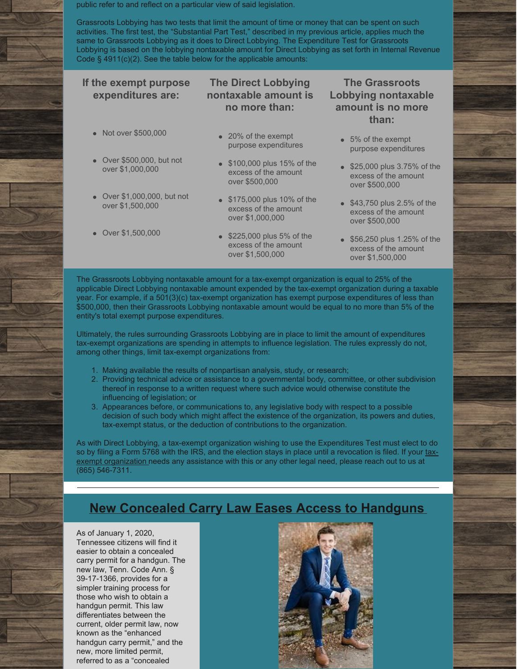public refer to and reflect on a particular view of said legislation.

Grassroots Lobbying has two tests that limit the amount of time or money that can be spent on such activities. The first test, the "Substantial Part Test," described in my previous article, applies much the same to Grassroots Lobbying as it does to Direct Lobbying. The Expenditure Test for Grassroots Lobbying is based on the lobbying nontaxable amount for Direct Lobbying as set forth in Internal Revenue Code § 4911(c)(2). See the table below for the applicable amounts:

#### **If the exempt purpose expenditures are:** Not over \$500,000 Over \$500,000, but not over \$1,000,000 Over \$1,000,000, but not over \$1,500,000 Over \$1,500,000 **The Direct Lobbying nontaxable amount is no more than:** • 20% of the exempt purpose expenditures **\$100,000 plus 15% of the** excess of the amount over \$500,000 **\$175,000 plus 10% of the** excess of the amount over \$1,000,000 **\$225,000 plus 5% of the** excess of the amount over \$1,500,000 **The Grassroots Lobbying nontaxable amount is no more than:** • 5% of the exempt purpose expenditures **\$25,000 plus 3.75% of the** excess of the amount over \$500,000 **\$43,750 plus 2.5% of the** excess of the amount over \$500,000 **\$56,250 plus 1.25% of the** excess of the amount over \$1,500,000

The Grassroots Lobbying nontaxable amount for a tax-exempt organization is equal to 25% of the applicable Direct Lobbying nontaxable amount expended by the tax-exempt organization during a taxable year. For example, if a 501(3)(c) tax-exempt organization has exempt purpose expenditures of less than \$500,000, then their Grassroots Lobbying nontaxable amount would be equal to no more than 5% of the entity's total exempt purpose expenditures.

Ultimately, the rules surrounding Grassroots Lobbying are in place to limit the amount of expenditures tax-exempt organizations are spending in attempts to influence legislation. The rules expressly do not, among other things, limit tax-exempt organizations from:

- 1. Making available the results of nonpartisan analysis, study, or research;
- 2. Providing technical advice or assistance to a governmental body, committee, or other subdivision thereof in response to a written request where such advice would otherwise constitute the influencing of legislation; or
- 3. Appearances before, or communications to, any legislative body with respect to a possible decision of such body which might affect the existence of the organization, its powers and duties, tax-exempt status, or the deduction of contributions to the organization.

As with Direct Lobbying, a tax-exempt organization wishing to use the Expenditures Test must elect to do so by filing a Form 5768 with the IRS, and the election stays in place until a revocation is filed. If your taxexempt [organization](http://www.kmfpc.com/practice_areas/churches_nonprofit_and_tax-exempt_organizations.aspx) needs any assistance with this or any other legal need, please reach out to us at (865) 546-7311.

# **New Concealed Carry Law Eases Access to Handguns**

As of January 1, 2020, Tennessee citizens will find it easier to obtain a concealed carry permit for a handgun. The new law, Tenn. Code Ann. § 39-17-1366, provides for a simpler training process for those who wish to obtain a handgun permit. This law differentiates between the current, older permit law, now known as the "enhanced handgun carry permit," and the new, more limited permit, referred to as a "concealed